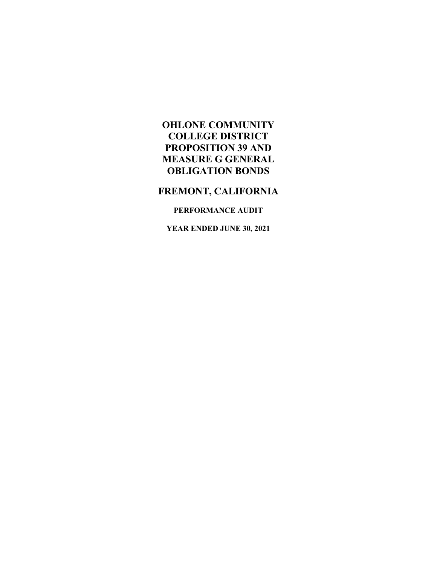# **FREMONT, CALIFORNIA**

## **PERFORMANCE AUDIT**

**YEAR ENDED JUNE 30, 2021**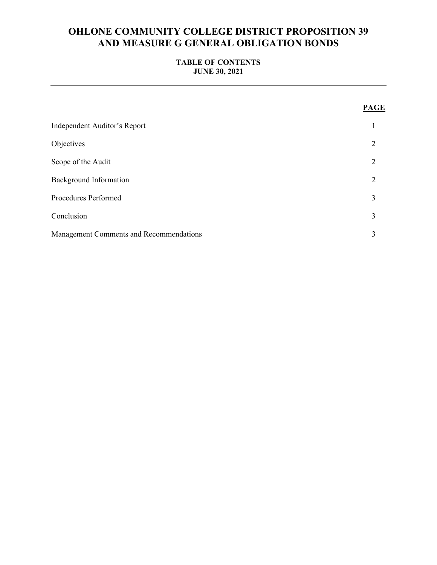## **TABLE OF CONTENTS JUNE 30, 2021**

|                                         | <b>PAGE</b> |
|-----------------------------------------|-------------|
| Independent Auditor's Report            |             |
| Objectives                              | 2           |
| Scope of the Audit                      | 2           |
| <b>Background Information</b>           | 2           |
| Procedures Performed                    | 3           |
| Conclusion                              | 3           |
| Management Comments and Recommendations | 3           |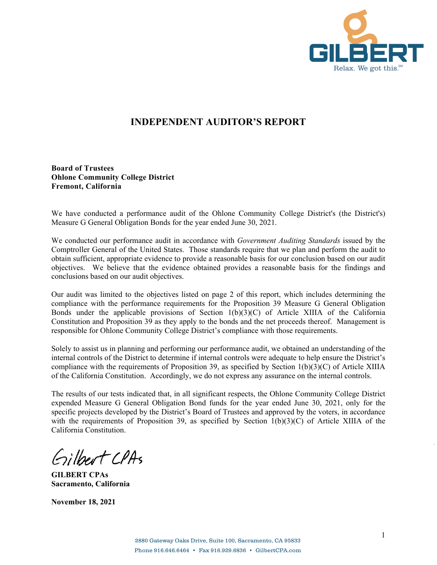

## **INDEPENDENT AUDITOR'S REPORT**

**Board of Trustees Ohlone Community College District Fremont, California** 

We have conducted a performance audit of the Ohlone Community College District's (the District's) Measure G General Obligation Bonds for the year ended June 30, 2021.

We conducted our performance audit in accordance with *Government Auditing Standards* issued by the Comptroller General of the United States. Those standards require that we plan and perform the audit to obtain sufficient, appropriate evidence to provide a reasonable basis for our conclusion based on our audit objectives. We believe that the evidence obtained provides a reasonable basis for the findings and conclusions based on our audit objectives.

Our audit was limited to the objectives listed on page 2 of this report, which includes determining the compliance with the performance requirements for the Proposition 39 Measure G General Obligation Bonds under the applicable provisions of Section  $1(b)(3)(C)$  of Article XIIIA of the California Constitution and Proposition 39 as they apply to the bonds and the net proceeds thereof. Management is responsible for Ohlone Community College District's compliance with those requirements.

Solely to assist us in planning and performing our performance audit, we obtained an understanding of the internal controls of the District to determine if internal controls were adequate to help ensure the District's compliance with the requirements of Proposition 39, as specified by Section  $1(b)(3)(C)$  of Article XIIIA of the California Constitution. Accordingly, we do not express any assurance on the internal controls.

The results of our tests indicated that, in all significant respects, the Ohlone Community College District expended Measure G General Obligation Bond funds for the year ended June 30, 2021, only for the specific projects developed by the District's Board of Trustees and approved by the voters, in accordance with the requirements of Proposition 39, as specified by Section  $1(b)(3)(C)$  of Article XIIIA of the California Constitution.

Gilbert CPAs

**GILBERT CPAs Sacramento, California** 

**November 18, 2021**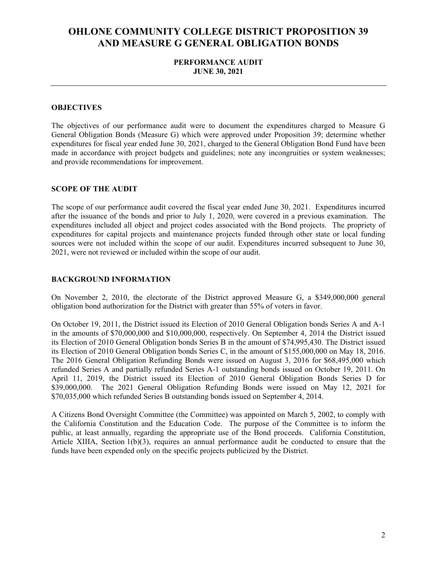### **PERFORMANCE AUDIT JUNE 30, 2021**

#### **OBJECTIVES**

The objectives of our performance audit were to document the expenditures charged to Measure G General Obligation Bonds (Measure G) which were approved under Proposition 39; determine whether expenditures for fiscal year ended June 30, 2021, charged to the General Obligation Bond Fund have been made in accordance with project budgets and guidelines; note any incongruities or system weaknesses; and provide recommendations for improvement.

#### **SCOPE OF THE AUDIT**

The scope of our performance audit covered the fiscal year ended June 30, 2021. Expenditures incurred after the issuance of the bonds and prior to July 1, 2020, were covered in a previous examination. The expenditures included all object and project codes associated with the Bond projects. The propriety of expenditures for capital projects and maintenance projects funded through other state or local funding sources were not included within the scope of our audit. Expenditures incurred subsequent to June 30, 2021, were not reviewed or included within the scope of our audit.

#### **BACKGROUND INFORMATION**

On November 2, 2010, the electorate of the District approved Measure G, a \$349,000,000 general obligation bond authorization for the District with greater than 55% of voters in favor.

On October 19, 2011, the District issued its Election of 2010 General Obligation bonds Series A and A-1 in the amounts of \$70,000,000 and \$10,000,000, respectively. On September 4, 2014 the District issued its Election of 2010 General Obligation bonds Series B in the amount of \$74,995,430. The District issued its Election of 2010 General Obligation bonds Series C, in the amount of \$155,000,000 on May 18, 2016. The 2016 General Obligation Refunding Bonds were issued on August 3, 2016 for \$68,495,000 which refunded Series A and partially refunded Series A-1 outstanding bonds issued on October 19, 2011. On April 11, 2019, the District issued its Election of 2010 General Obligation Bonds Series D for \$39,000,000. The 2021 General Obligation Refunding Bonds were issued on May 12, 2021 for \$70,035,000 which refunded Series B outstanding bonds issued on September 4, 2014.

A Citizens Bond Oversight Committee (the Committee) was appointed on March 5, 2002, to comply with the California Constitution and the Education Code. The purpose of the Committee is to inform the public, at least annually, regarding the appropriate use of the Bond proceeds. California Constitution, Article XIIIA, Section 1(b)(3), requires an annual performance audit be conducted to ensure that the funds have been expended only on the specific projects publicized by the District.